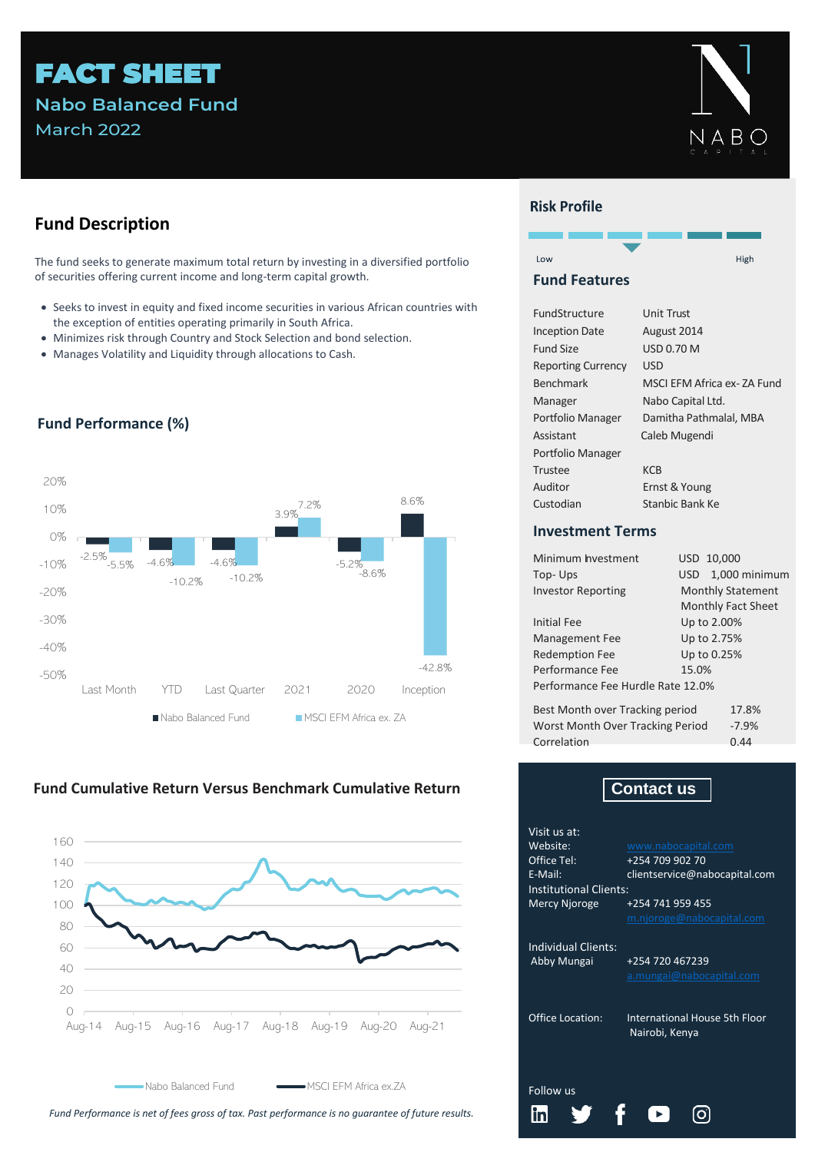# FACT SHEET **Nabo Balanced Fund** March 2022



# **Fund Description**

The fund seeks to generate maximum total return by investing in a diversified portfolio of securities offering current income and long-term capital growth.

- Seeks to invest in equity and fixed income securities in various African countries with the exception of entities operating primarily in South Africa.
- Minimizes risk through Country and Stock Selection and bond selection.
- Manages Volatility and Liquidity through allocations to Cash.



## **Fund Performance (%)**





Nabo Balanced Fund

NSCI EFM Africa ex.ZA

*Fund Performance is net of fees gross of tax. Past performance is no guarantee of future results.*

## **Risk Profile**



#### **Fund Features**

| FundStructure             | <b>Unit Trust</b>           |
|---------------------------|-----------------------------|
| <b>Inception Date</b>     | August 2014                 |
| <b>Fund Size</b>          | USD 0.70 M                  |
| <b>Reporting Currency</b> | USD                         |
| <b>Benchmark</b>          | MSCI EFM Africa ex- ZA Fund |
| Manager                   | Nabo Capital Ltd.           |
| Portfolio Manager         | Damitha Pathmalal, MBA      |
| Assistant                 | Caleb Mugendi               |
| Portfolio Manager         |                             |
| Trustee                   | <b>KCB</b>                  |
| Auditor                   | Ernst & Young               |
| Custodian                 | Stanbic Bank Ke             |

#### **Investment Terms**

| Minimum hyestment                       | USD 10,000               |  |  |  |  |  |
|-----------------------------------------|--------------------------|--|--|--|--|--|
| Top-Ups                                 | 1,000 minimum<br>USD.    |  |  |  |  |  |
| <b>Investor Reporting</b>               | <b>Monthly Statement</b> |  |  |  |  |  |
|                                         | Monthly Fact Sheet       |  |  |  |  |  |
| <b>Initial Fee</b>                      | Up to 2.00%              |  |  |  |  |  |
| <b>Management Fee</b>                   | Up to 2.75%              |  |  |  |  |  |
| <b>Redemption Fee</b>                   | Up to 0.25%              |  |  |  |  |  |
| Performance Fee                         | 15.0%                    |  |  |  |  |  |
| Performance Fee Hurdle Rate 12.0%       |                          |  |  |  |  |  |
| Best Month over Tracking period         | 17.8%                    |  |  |  |  |  |
| <b>Worst Month Over Tracking Period</b> | $-7.9%$                  |  |  |  |  |  |
| Correlation                             | 0.44                     |  |  |  |  |  |